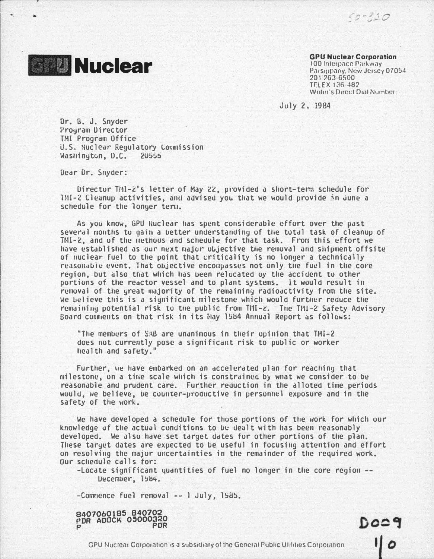$50 - 320$ 



**GPU Nuclear Corporation** 

100 Interpace Parkway Parsippany, New Jersey 07054 201263-6500 TELEX 136-482 Writer's Direct Dial Number:

Docg

 $\overline{\mathsf{1}\mathsf{1}}$ 

July 2, 1984

Dr. B. J. Snyder Prouram Director TMI Program Office U.S. Nuclear Regulatory Commission Washington, D.C. 20555

Dear Dr. Snyder:

Director TMI-2's letter of May 22, provided a short-term schedule for TMI-2 Cleanup activities, and advised you that we would provide in June a schedule for the longer term.

As you know, GPU Nuclear has spent considerable effort over the past several months to gain a better understanding of the total task of cleanup of TMI-2, and of the methous and schedule for that task. From this effort we have established as our next major objective the removal and shipment offsite of nuclear fuel to the point that criticality is no longer a technically reasonable event. That objective encompasses not only the fuel in the core region, but also that which has been relocated by the accident to other portions of the reactor vessel and to plant systems. It would result in removal of the great majority of the remaining radioactivity from the site. We believe this is a significant milestone which would further reduce the remaining potential risk to the public from TM1-z. The TM1-2 Safety Advisory Board comments on that risk in its Hay 1984 Annual Report as follows:

"The members of SAB are unanimous in their opinion that TMI-2 does not currently pose a significant risk to public or worker health and safety.

Further, we have embarked on an accelerated plan for reaching that milestone, on a time scale which is constrained by what we consider to be reasonable and prudent care. Further reduction in the alloted time periods would, we believe, be counter-productive in personnel exposure and in the safety of the work.

We have developed a schedule for those portions of the work for which our knowledge of the actual conditions to be dealt with has been reasonably developed. We also have set target dates for other portions of the plan. These target dates are expected to be useful in focusing attention and effort on resolving the major uncertainties in the remainder of the required work. Our schedule calls for:

 $-$ Locate significant quantities of fuel no longer in the core region  $-$ December, 1984.

-Commence fuel removal -- I July, 1985.

8407060185 840702 **PDR ADOCK 05000320** PDR

GPU Nuclear Corporation is a subsidiary of the General Public Ultilities Corporation